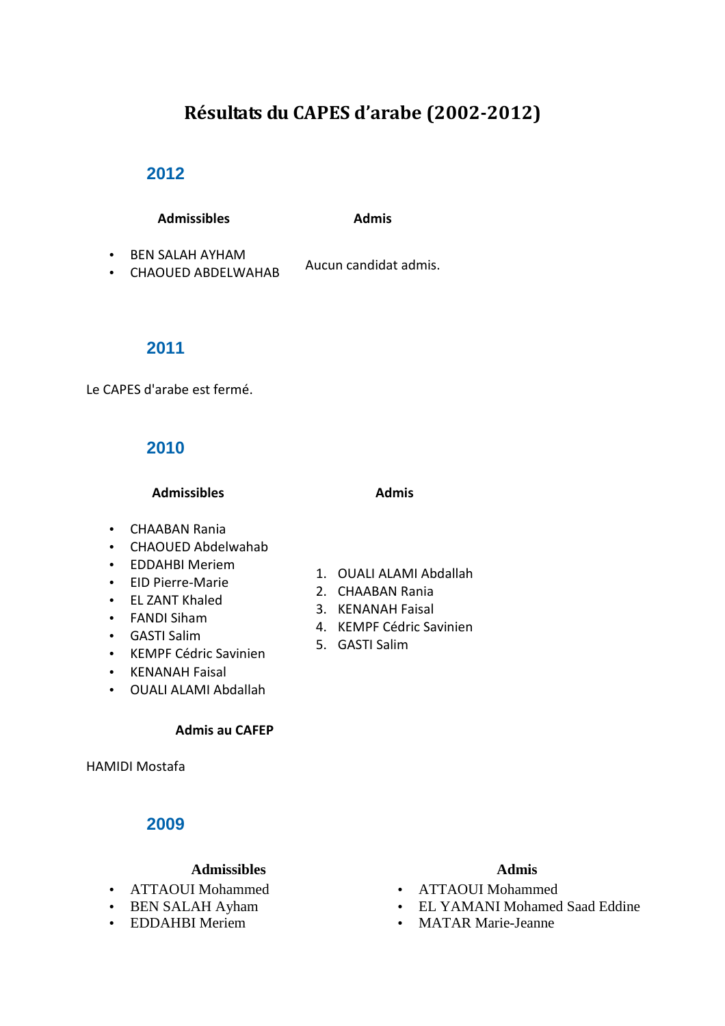# **Résultats du CAPES d'arabe (2002-2012)**

# **2012**

### Admissibles **Admis**

• BEN SALAH AYHAM

• BEN SALAH ATHAMI<br>• CHAOUED ABDELWAHAB Aucun candidat admis.

# **2011**

Le CAPES d'arabe est fermé.

# **2010**

Admissibles **Admissibles Admissibles** 

- CHAABAN Rania
- CHAOUED Abdelwahab
- EDDAHBI Meriem
- EID Pierre-Marie
- EL ZANT Khaled
- FANDI Siham
- GASTI Salim
- KEMPF Cédric Savinien
- KENANAH Faisal
- OUALI ALAMI Abdallah

### **Admis au CAFEP**

HAMIDI Mostafa

# **2009**

### Admissibles **Admissibles Admissibles**

- ATTAOUI Mohammed
- BEN SALAH Ayham
- EDDAHBI Meriem

# 1. OUALI ALAMI Abdallah

- 2. CHAABAN Rania
- 3. KENANAH Faisal
- 4. KEMPF Cédric Savinien
- 5. GASTI Salim

- ATTAOUI Mohammed
- EL YAMANI Mohamed Saad Eddine
- MATAR Marie-Jeanne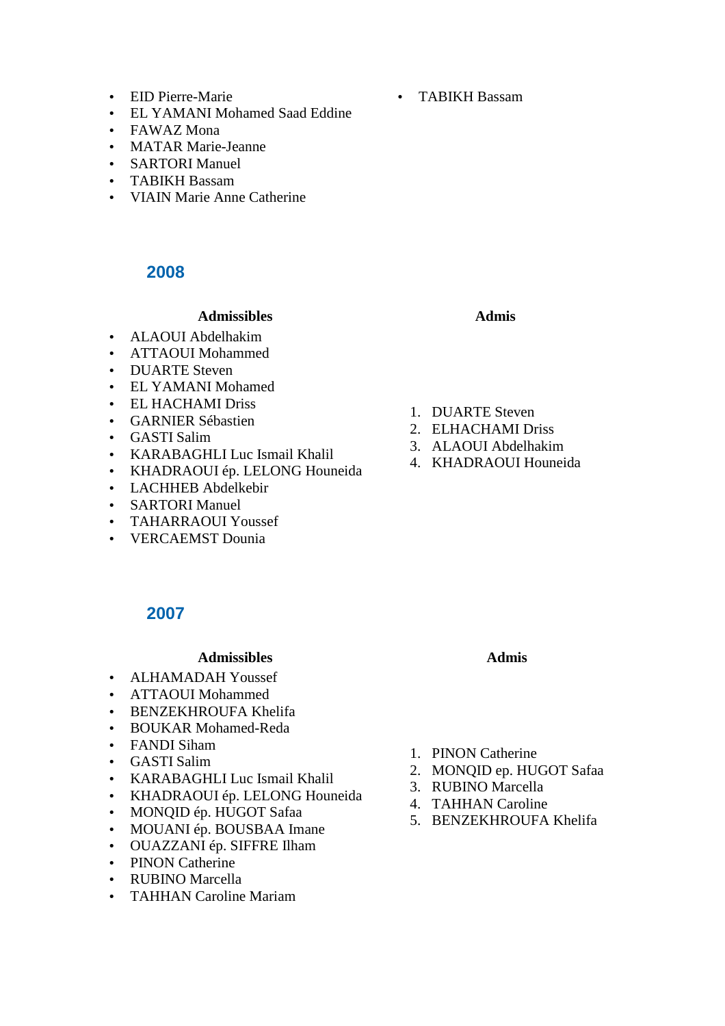- EID Pierre-Marie
- EL YAMANI Mohamed Saad Eddine
- FAWAZ Mona
- MATAR Marie-Jeanne
- SARTORI Manuel
- TABIKH Bassam
- VIAIN Marie Anne Catherine

# **2008**

# Admissibles **Admissibles Admissibles**

- ALAOUI Abdelhakim
- ATTAOUI Mohammed
- DUARTE Steven
- EL YAMANI Mohamed
- EL HACHAMI Driss
- GARNIER Sébastien
- GASTI Salim
- KARABAGHLI Luc Ismail Khalil
- KHADRAOUI ép. LELONG Houneida
- LACHHEB Abdelkebir
- SARTORI Manuel
- TAHARRAOUI Youssef
- VERCAEMST Dounia

- 1. DUARTE Steven
- 2. ELHACHAMI Driss
- 3. ALAOUI Abdelhakim
- 4. KHADRAOUI Houneida

# **2007**

### Admissibles **Admissibles Admissibles**

- ALHAMADAH Youssef
- ATTAOUI Mohammed
- BENZEKHROUFA Khelifa
- BOUKAR Mohamed-Reda
- FANDI Siham
- GASTI Salim
- KARABAGHLI Luc Ismail Khalil
- KHADRAOUI ép. LELONG Houneida
- MONQID ép. HUGOT Safaa
- MOUANI ép. BOUSBAA Imane
- OUAZZANI ép. SIFFRE Ilham
- PINON Catherine
- RUBINO Marcella
- TAHHAN Caroline Mariam
- 1. PINON Catherine
- 2. MONQID ep. HUGOT Safaa
- 3. RUBINO Marcella
- 4. TAHHAN Caroline
- 5. BENZEKHROUFA Khelifa

• TABIKH Bassam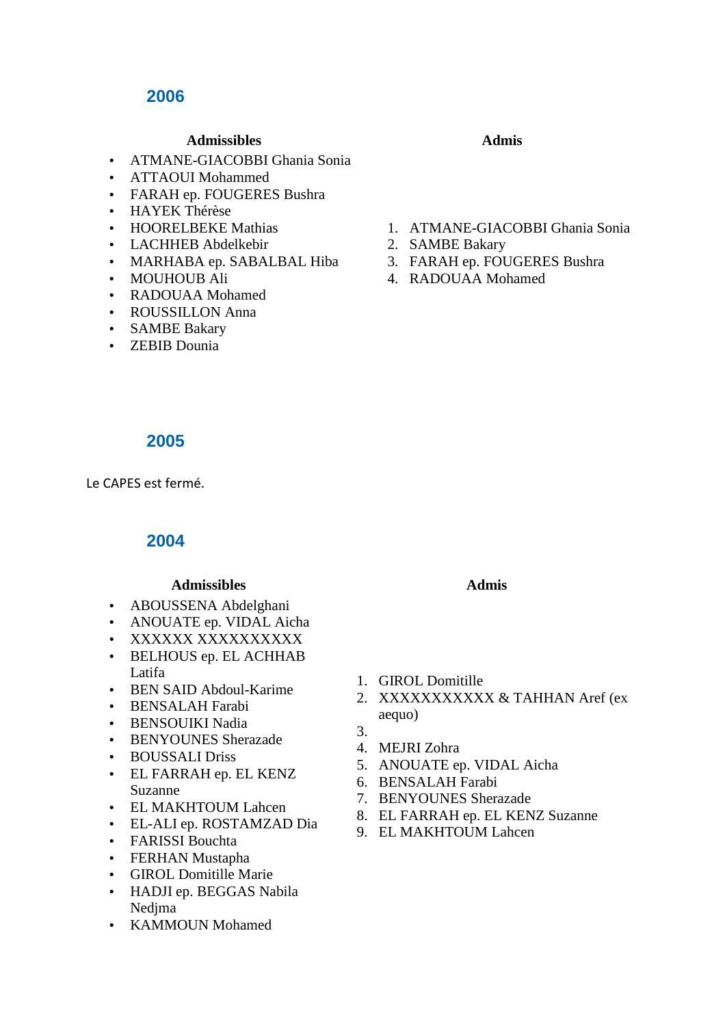# **2006**

# **Admissibles Admissibles**

- ATMANE-GIACOBBI Ghania Sonia
- ATTAOUI Mohammed
- FARAH ep. FOUGERES Bushra
- HAYEK Thérèse
- HOORELBEKE Mathias
- LACHHEB Abdelkebir
- MARHABA ep. SABALBAL Hiba
- MOUHOUB Ali
- RADOUAA Mohamed
- ROUSSILLON Anna
- SAMBE Bakary
- ZEBIB Dounia

- 1. ATMANE-GIACOBBI Ghania Sonia
- 2. SAMBE Bakary
- 3. FARAH ep. FOUGERES Bushra
- 4. RADOUAA Mohamed

### **2005**

Le CAPES est fermé.

# **2004**

### Admissibles **Admissibles Admissibles**

- ABOUSSENA Abdelghani
- ANOUATE ep. VIDAL Aicha
- XXXXXX XXXXXXXXXX
- BELHOUS ep. EL ACHHAB Latifa
- BEN SAID Abdoul-Karime
- BENSALAH Farabi
- BENSOUIKI Nadia
- BENYOUNES Sherazade
- BOUSSALI Driss
- EL FARRAH ep. EL KENZ Suzanne
- EL MAKHTOUM Lahcen
- EL-ALI ep. ROSTAMZAD Dia
- FARISSI Bouchta
- FERHAN Mustapha
- GIROL Domitille Marie
- HADJI ep. BEGGAS Nabila Nedjma
- KAMMOUN Mohamed

- 1. GIROL Domitille
- 2. XXXXXXXXXXX & TAHHAN Aref (ex aequo)
- 3.
- 4. MEJRI Zohra
- 5. ANOUATE ep. VIDAL Aicha
- 6. BENSALAH Farabi
- 7. BENYOUNES Sherazade
- 8. EL FARRAH ep. EL KENZ Suzanne
- 9. EL MAKHTOUM Lahcen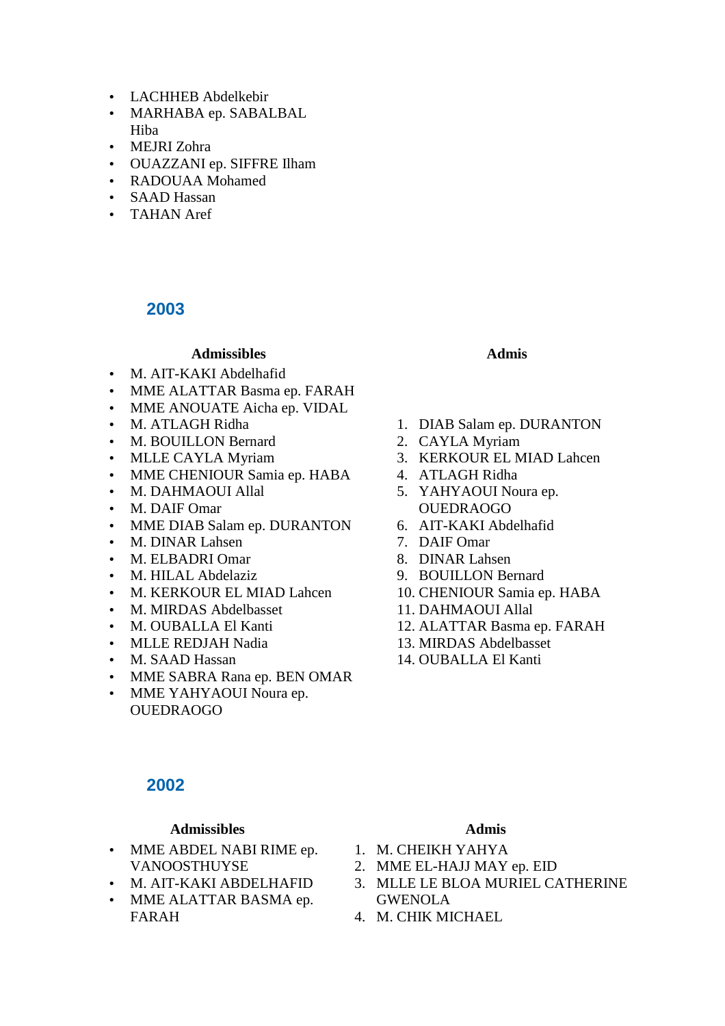- LACHHEB Abdelkebir
- MARHABA ep. SABALBAL Hiba
- MEJRI Zohra
- OUAZZANI ep. SIFFRE Ilham
- RADOUAA Mohamed
- SAAD Hassan
- TAHAN Aref

### **2003**

# **Admissibles Admis**

- M. AIT-KAKI Abdelhafid
- MME ALATTAR Basma ep. FARAH
- MME ANOUATE Aicha ep. VIDAL
- M. ATLAGH Ridha
- M. BOUILLON Bernard
- MLLE CAYLA Myriam
- MME CHENIOUR Samia ep. HABA
- M. DAHMAOUI Allal
- M. DAIF Omar
- MME DIAB Salam ep. DURANTON
- M. DINAR Lahsen
- M. ELBADRI Omar
- M. HILAL Abdelaziz
- M. KERKOUR EL MIAD Lahcen
- M. MIRDAS Abdelbasset
- M. OUBALLA El Kanti
- MLLE REDJAH Nadia
- M. SAAD Hassan
- MME SABRA Rana ep. BEN OMAR
- MME YAHYAOUI Noura ep. OUEDRAOGO

### **2002**

### Admissibles **Admissibles**

- MME ABDEL NABI RIME ep. VANOOSTHUYSE
- M. AIT-KAKI ABDELHAFID
- MME ALATTAR BASMA ep. FARAH

- 1. DIAB Salam ep. DURANTON
- 2. CAYLA Myriam
- 3. KERKOUR EL MIAD Lahcen
- 4. ATLAGH Ridha
- 5. YAHYAOUI Noura ep. OUEDRAOGO
- 6. AIT-KAKI Abdelhafid
- 7. DAIF Omar
- 8. DINAR Lahsen
- 9. BOUILLON Bernard
- 10. CHENIOUR Samia ep. HABA
- 11. DAHMAOUI Allal
- 12. ALATTAR Basma ep. FARAH
- 13. MIRDAS Abdelbasset
- 14. OUBALLA El Kanti

- 1. M. CHEIKH YAHYA
- 2. MME EL-HAJJ MAY ep. EID
- 3. MLLE LE BLOA MURIEL CATHERINE GWENOLA
- 4. M. CHIK MICHAEL